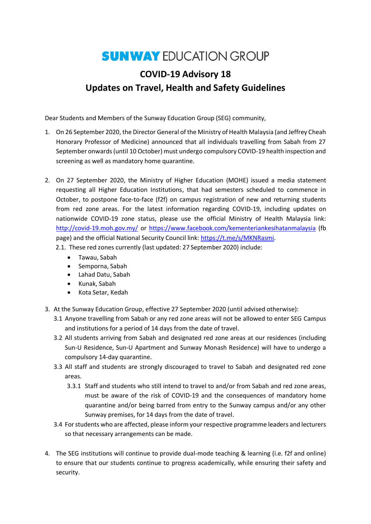## **SUNWAY EDUCATION GROUP**

## **COVID-19 Advisory 18 Updates on Travel, Health and Safety Guidelines**

Dear Students and Members of the Sunway Education Group (SEG) community,

- 1. On 26 September 2020, the Director General of the Ministry of Health Malaysia (and Jeffrey Cheah Honorary Professor of Medicine) announced that all individuals travelling from Sabah from 27 September onwards (until 10 October) must undergo compulsory COVID-19 health inspection and screening as well as mandatory home quarantine.
- 2. On 27 September 2020, the Ministry of Higher Education (MOHE) issued a media statement requesting all Higher Education Institutions, that had semesters scheduled to commence in October, to postpone face-to-face (f2f) on campus registration of new and returning students from red zone areas. For the latest information regarding COVID-19, including updates on nationwide COVID-19 zone status, please use the official Ministry of Health Malaysia link: <http://covid-19.moh.gov.my/> or<https://www.facebook.com/kementeriankesihatanmalaysia> (fb page) and the official National Security Council link: [https://t.me/s/MKNRasmi.](https://t.me/s/MKNRasmi) 2.1. These red zones currently (last updated: 27 September 2020) include:
	- Tawau, Sabah
	- Semporna, Sabah
	- Lahad Datu, Sabah
	- Kunak, Sabah
	- Kota Setar, Kedah
- 3. At the Sunway Education Group, effective 27 September 2020 (until advised otherwise):
	- 3.1 Anyone travelling from Sabah or any red zone areas will not be allowed to enter SEG Campus and institutions for a period of 14 days from the date of travel.
	- 3.2 All students arriving from Sabah and designated red zone areas at our residences (including Sun-U Residence, Sun-U Apartment and Sunway Monash Residence) will have to undergo a compulsory 14-day quarantine.
	- 3.3 All staff and students are strongly discouraged to travel to Sabah and designated red zone areas.
		- 3.3.1 Staff and students who still intend to travel to and/or from Sabah and red zone areas, must be aware of the risk of COVID-19 and the consequences of mandatory home quarantine and/or being barred from entry to the Sunway campus and/or any other Sunway premises, for 14 days from the date of travel.
	- 3.4 For students who are affected, please inform your respective programme leaders and lecturers so that necessary arrangements can be made.
- 4. The SEG institutions will continue to provide dual-mode teaching & learning (i.e. f2f and online) to ensure that our students continue to progress academically, while ensuring their safety and security.